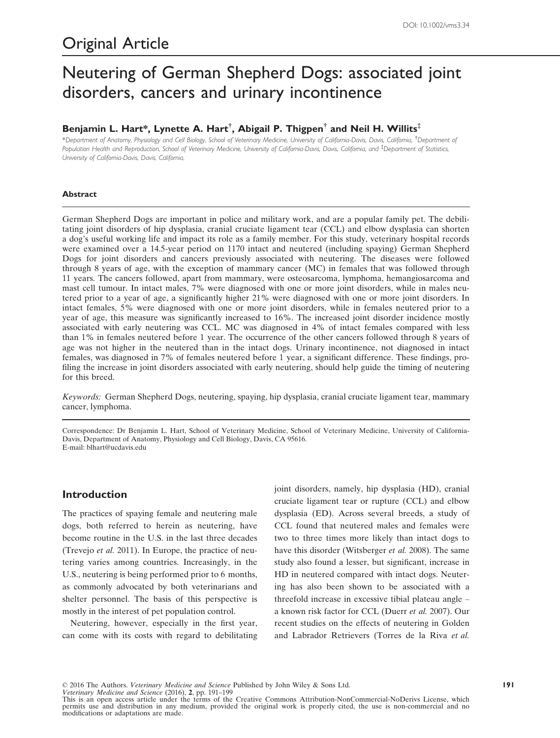# Neutering of German Shepherd Dogs: associated joint disorders, cancers and urinary incontinence

# Benjamin L. Hart\*, Lynette A. Hart $^\dagger$ , Abigail P. Thigpen $^\dagger$  and Neil H. Willits $^\ddagger$

\*Department of Anatomy, Physiology and Cell Biology, School of Veterinary Medicine, University of California-Davis, Davis, California, † Department of Population Health and Reproduction, School of Veterinary Medicine, University of California-Davis, Davis, California, and ‡ Department of Statistics, University of California-Davis, Davis, California,

### Abstract

German Shepherd Dogs are important in police and military work, and are a popular family pet. The debilitating joint disorders of hip dysplasia, cranial cruciate ligament tear (CCL) and elbow dysplasia can shorten a dog's useful working life and impact its role as a family member. For this study, veterinary hospital records were examined over a 14.5-year period on 1170 intact and neutered (including spaying) German Shepherd Dogs for joint disorders and cancers previously associated with neutering. The diseases were followed through 8 years of age, with the exception of mammary cancer (MC) in females that was followed through 11 years. The cancers followed, apart from mammary, were osteosarcoma, lymphoma, hemangiosarcoma and mast cell tumour. In intact males, 7% were diagnosed with one or more joint disorders, while in males neutered prior to a year of age, a significantly higher 21% were diagnosed with one or more joint disorders. In intact females, 5% were diagnosed with one or more joint disorders, while in females neutered prior to a year of age, this measure was significantly increased to 16%. The increased joint disorder incidence mostly associated with early neutering was CCL. MC was diagnosed in 4% of intact females compared with less than 1% in females neutered before 1 year. The occurrence of the other cancers followed through 8 years of age was not higher in the neutered than in the intact dogs. Urinary incontinence, not diagnosed in intact females, was diagnosed in 7% of females neutered before 1 year, a significant difference. These findings, profiling the increase in joint disorders associated with early neutering, should help guide the timing of neutering for this breed.

Keywords: German Shepherd Dogs, neutering, spaying, hip dysplasia, cranial cruciate ligament tear, mammary cancer, lymphoma.

Correspondence: Dr Benjamin L. Hart, School of Veterinary Medicine, School of Veterinary Medicine, University of California-Davis, Department of Anatomy, Physiology and Cell Biology, Davis, CA 95616. E-mail: blhart@ucdavis.edu

# Introduction

The practices of spaying female and neutering male dogs, both referred to herein as neutering, have become routine in the U.S. in the last three decades (Trevejo et al. 2011). In Europe, the practice of neutering varies among countries. Increasingly, in the U.S., neutering is being performed prior to 6 months, as commonly advocated by both veterinarians and shelter personnel. The basis of this perspective is mostly in the interest of pet population control.

Neutering, however, especially in the first year, can come with its costs with regard to debilitating joint disorders, namely, hip dysplasia (HD), cranial cruciate ligament tear or rupture (CCL) and elbow dysplasia (ED). Across several breeds, a study of CCL found that neutered males and females were two to three times more likely than intact dogs to have this disorder (Witsberger et al. 2008). The same study also found a lesser, but significant, increase in HD in neutered compared with intact dogs. Neutering has also been shown to be associated with a threefold increase in excessive tibial plateau angle – a known risk factor for CCL (Duerr et al. 2007). Our recent studies on the effects of neutering in Golden and Labrador Retrievers (Torres de la Riva et al.

© 2016 The Authors. Veterinary Medicine and Science Published by John Wiley & Sons Ltd.

Veterinary Medicine and Science (2016), 2, pp. 191–199 This is an open access article under the terms of the [Creative Commons Attribution-NonCommercial-NoDerivs](http://creativecommons.org/licenses/by-nc-nd/4.0/) License, which permits use and distribution in any medium, provided the original work is properly cited, the use is non-commercial and no modifications or adaptations are made.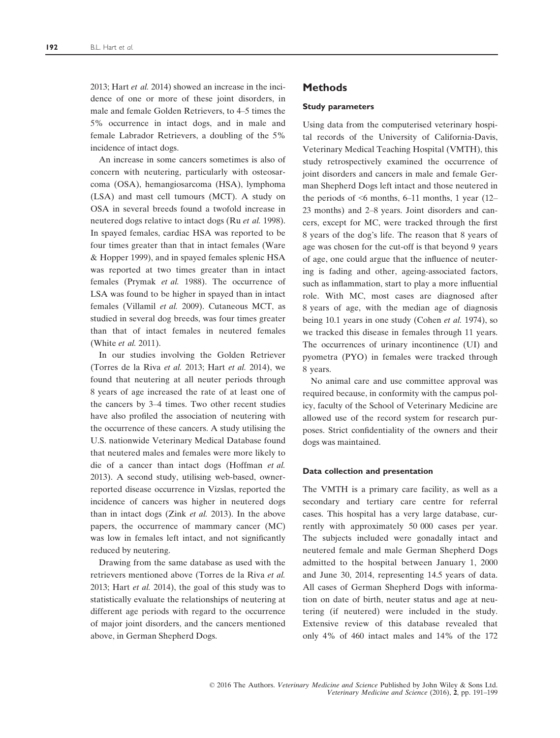2013; Hart et al. 2014) showed an increase in the incidence of one or more of these joint disorders, in male and female Golden Retrievers, to 4–5 times the 5% occurrence in intact dogs, and in male and female Labrador Retrievers, a doubling of the 5% incidence of intact dogs.

An increase in some cancers sometimes is also of concern with neutering, particularly with osteosarcoma (OSA), hemangiosarcoma (HSA), lymphoma (LSA) and mast cell tumours (MCT). A study on OSA in several breeds found a twofold increase in neutered dogs relative to intact dogs (Ru et al. 1998). In spayed females, cardiac HSA was reported to be four times greater than that in intact females (Ware & Hopper 1999), and in spayed females splenic HSA was reported at two times greater than in intact females (Prymak et al. 1988). The occurrence of LSA was found to be higher in spayed than in intact females (Villamil et al. 2009). Cutaneous MCT, as studied in several dog breeds, was four times greater than that of intact females in neutered females (White et al. 2011).

In our studies involving the Golden Retriever (Torres de la Riva et al. 2013; Hart et al. 2014), we found that neutering at all neuter periods through 8 years of age increased the rate of at least one of the cancers by 3–4 times. Two other recent studies have also profiled the association of neutering with the occurrence of these cancers. A study utilising the U.S. nationwide Veterinary Medical Database found that neutered males and females were more likely to die of a cancer than intact dogs (Hoffman et al. 2013). A second study, utilising web-based, ownerreported disease occurrence in Vizslas, reported the incidence of cancers was higher in neutered dogs than in intact dogs (Zink et al. 2013). In the above papers, the occurrence of mammary cancer (MC) was low in females left intact, and not significantly reduced by neutering.

Drawing from the same database as used with the retrievers mentioned above (Torres de la Riva et al. 2013; Hart et al. 2014), the goal of this study was to statistically evaluate the relationships of neutering at different age periods with regard to the occurrence of major joint disorders, and the cancers mentioned above, in German Shepherd Dogs.

# **Methods**

#### Study parameters

Using data from the computerised veterinary hospital records of the University of California-Davis, Veterinary Medical Teaching Hospital (VMTH), this study retrospectively examined the occurrence of joint disorders and cancers in male and female German Shepherd Dogs left intact and those neutered in the periods of  $\leq 6$  months, 6–11 months, 1 year (12– 23 months) and 2–8 years. Joint disorders and cancers, except for MC, were tracked through the first 8 years of the dog's life. The reason that 8 years of age was chosen for the cut-off is that beyond 9 years of age, one could argue that the influence of neutering is fading and other, ageing-associated factors, such as inflammation, start to play a more influential role. With MC, most cases are diagnosed after 8 years of age, with the median age of diagnosis being 10.1 years in one study (Cohen et al. 1974), so we tracked this disease in females through 11 years. The occurrences of urinary incontinence (UI) and pyometra (PYO) in females were tracked through 8 years.

No animal care and use committee approval was required because, in conformity with the campus policy, faculty of the School of Veterinary Medicine are allowed use of the record system for research purposes. Strict confidentiality of the owners and their dogs was maintained.

#### Data collection and presentation

The VMTH is a primary care facility, as well as a secondary and tertiary care centre for referral cases. This hospital has a very large database, currently with approximately 50 000 cases per year. The subjects included were gonadally intact and neutered female and male German Shepherd Dogs admitted to the hospital between January 1, 2000 and June 30, 2014, representing 14.5 years of data. All cases of German Shepherd Dogs with information on date of birth, neuter status and age at neutering (if neutered) were included in the study. Extensive review of this database revealed that only 4% of 460 intact males and 14% of the 172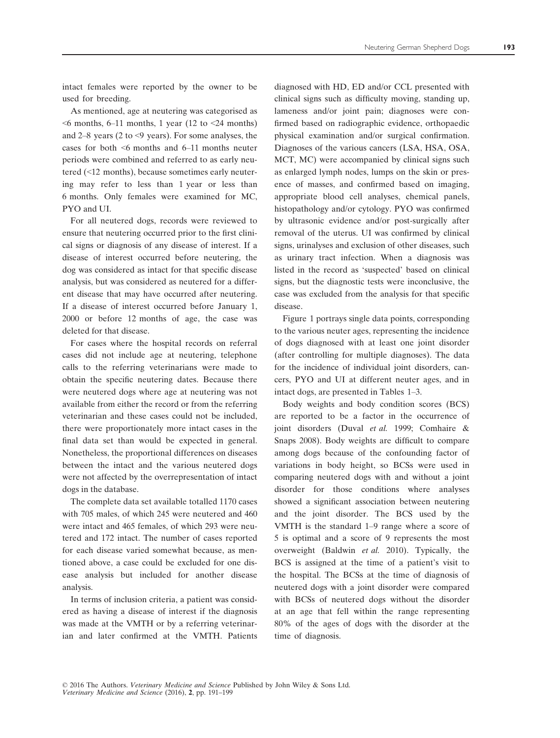intact females were reported by the owner to be used for breeding.

As mentioned, age at neutering was categorised as  $\leq$ 6 months, 6–11 months, 1 year (12 to  $\leq$ 24 months) and 2–8 years (2 to <9 years). For some analyses, the cases for both <6 months and 6–11 months neuter periods were combined and referred to as early neutered (<12 months), because sometimes early neutering may refer to less than 1 year or less than 6 months. Only females were examined for MC, PYO and UI.

For all neutered dogs, records were reviewed to ensure that neutering occurred prior to the first clinical signs or diagnosis of any disease of interest. If a disease of interest occurred before neutering, the dog was considered as intact for that specific disease analysis, but was considered as neutered for a different disease that may have occurred after neutering. If a disease of interest occurred before January 1, 2000 or before 12 months of age, the case was deleted for that disease.

For cases where the hospital records on referral cases did not include age at neutering, telephone calls to the referring veterinarians were made to obtain the specific neutering dates. Because there were neutered dogs where age at neutering was not available from either the record or from the referring veterinarian and these cases could not be included, there were proportionately more intact cases in the final data set than would be expected in general. Nonetheless, the proportional differences on diseases between the intact and the various neutered dogs were not affected by the overrepresentation of intact dogs in the database.

The complete data set available totalled 1170 cases with 705 males, of which 245 were neutered and 460 were intact and 465 females, of which 293 were neutered and 172 intact. The number of cases reported for each disease varied somewhat because, as mentioned above, a case could be excluded for one disease analysis but included for another disease analysis.

In terms of inclusion criteria, a patient was considered as having a disease of interest if the diagnosis was made at the VMTH or by a referring veterinarian and later confirmed at the VMTH. Patients diagnosed with HD, ED and/or CCL presented with clinical signs such as difficulty moving, standing up, lameness and/or joint pain; diagnoses were confirmed based on radiographic evidence, orthopaedic physical examination and/or surgical confirmation. Diagnoses of the various cancers (LSA, HSA, OSA, MCT, MC) were accompanied by clinical signs such as enlarged lymph nodes, lumps on the skin or presence of masses, and confirmed based on imaging, appropriate blood cell analyses, chemical panels, histopathology and/or cytology. PYO was confirmed by ultrasonic evidence and/or post-surgically after removal of the uterus. UI was confirmed by clinical signs, urinalyses and exclusion of other diseases, such as urinary tract infection. When a diagnosis was listed in the record as 'suspected' based on clinical signs, but the diagnostic tests were inconclusive, the case was excluded from the analysis for that specific disease.

Figure 1 portrays single data points, corresponding to the various neuter ages, representing the incidence of dogs diagnosed with at least one joint disorder (after controlling for multiple diagnoses). The data for the incidence of individual joint disorders, cancers, PYO and UI at different neuter ages, and in intact dogs, are presented in Tables 1–3.

Body weights and body condition scores (BCS) are reported to be a factor in the occurrence of joint disorders (Duval et al. 1999; Comhaire & Snaps 2008). Body weights are difficult to compare among dogs because of the confounding factor of variations in body height, so BCSs were used in comparing neutered dogs with and without a joint disorder for those conditions where analyses showed a significant association between neutering and the joint disorder. The BCS used by the VMTH is the standard 1–9 range where a score of 5 is optimal and a score of 9 represents the most overweight (Baldwin et al. 2010). Typically, the BCS is assigned at the time of a patient's visit to the hospital. The BCSs at the time of diagnosis of neutered dogs with a joint disorder were compared with BCSs of neutered dogs without the disorder at an age that fell within the range representing 80% of the ages of dogs with the disorder at the time of diagnosis.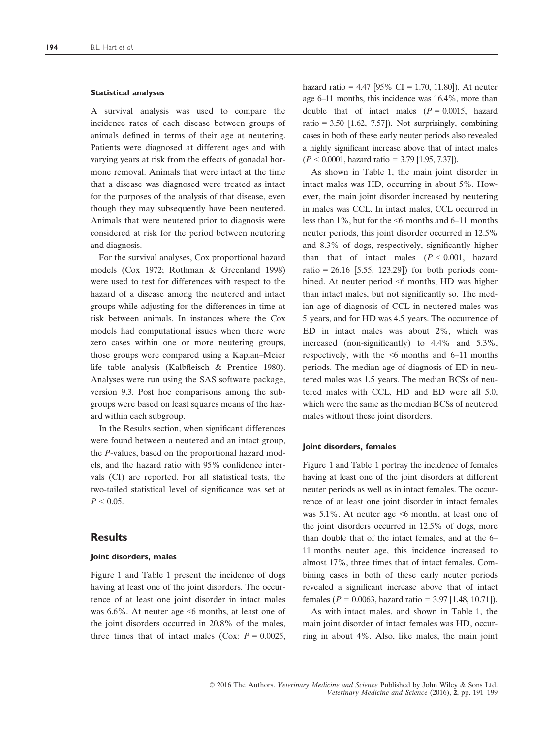#### Statistical analyses

A survival analysis was used to compare the incidence rates of each disease between groups of animals defined in terms of their age at neutering. Patients were diagnosed at different ages and with varying years at risk from the effects of gonadal hormone removal. Animals that were intact at the time that a disease was diagnosed were treated as intact for the purposes of the analysis of that disease, even though they may subsequently have been neutered. Animals that were neutered prior to diagnosis were considered at risk for the period between neutering and diagnosis.

For the survival analyses, Cox proportional hazard models (Cox 1972; Rothman & Greenland 1998) were used to test for differences with respect to the hazard of a disease among the neutered and intact groups while adjusting for the differences in time at risk between animals. In instances where the Cox models had computational issues when there were zero cases within one or more neutering groups, those groups were compared using a Kaplan–Meier life table analysis (Kalbfleisch & Prentice 1980). Analyses were run using the SAS software package, version 9.3. Post hoc comparisons among the subgroups were based on least squares means of the hazard within each subgroup.

In the Results section, when significant differences were found between a neutered and an intact group, the P-values, based on the proportional hazard models, and the hazard ratio with 95% confidence intervals (CI) are reported. For all statistical tests, the two-tailed statistical level of significance was set at  $P < 0.05$ .

# **Results**

#### Joint disorders, males

Figure 1 and Table 1 present the incidence of dogs having at least one of the joint disorders. The occurrence of at least one joint disorder in intact males was 6.6%. At neuter age <6 months, at least one of the joint disorders occurred in 20.8% of the males, three times that of intact males (Cox:  $P = 0.0025$ ,

hazard ratio = 4.47 [95% CI = 1.70, 11.80]). At neuter age 6–11 months, this incidence was 16.4%, more than double that of intact males  $(P = 0.0015$ , hazard ratio = 3.50 [1.62, 7.57]). Not surprisingly, combining cases in both of these early neuter periods also revealed a highly significant increase above that of intact males  $(P < 0.0001$ , hazard ratio = 3.79 [1.95, 7.37]).

As shown in Table 1, the main joint disorder in intact males was HD, occurring in about 5%. However, the main joint disorder increased by neutering in males was CCL. In intact males, CCL occurred in less than 1%, but for the <6 months and 6–11 months neuter periods, this joint disorder occurred in 12.5% and 8.3% of dogs, respectively, significantly higher than that of intact males  $(P < 0.001$ , hazard ratio = 26.16 [5.55, 123.29]) for both periods combined. At neuter period <6 months, HD was higher than intact males, but not significantly so. The median age of diagnosis of CCL in neutered males was 5 years, and for HD was 4.5 years. The occurrence of ED in intact males was about 2%, which was increased (non-significantly) to 4.4% and 5.3%, respectively, with the <6 months and 6–11 months periods. The median age of diagnosis of ED in neutered males was 1.5 years. The median BCSs of neutered males with CCL, HD and ED were all 5.0, which were the same as the median BCSs of neutered males without these joint disorders.

#### Joint disorders, females

Figure 1 and Table 1 portray the incidence of females having at least one of the joint disorders at different neuter periods as well as in intact females. The occurrence of at least one joint disorder in intact females was 5.1%. At neuter age  $\leq 6$  months, at least one of the joint disorders occurred in 12.5% of dogs, more than double that of the intact females, and at the 6– 11 months neuter age, this incidence increased to almost 17%, three times that of intact females. Combining cases in both of these early neuter periods revealed a significant increase above that of intact females ( $P = 0.0063$ , hazard ratio = 3.97 [1.48, 10.71]).

As with intact males, and shown in Table 1, the main joint disorder of intact females was HD, occurring in about 4%. Also, like males, the main joint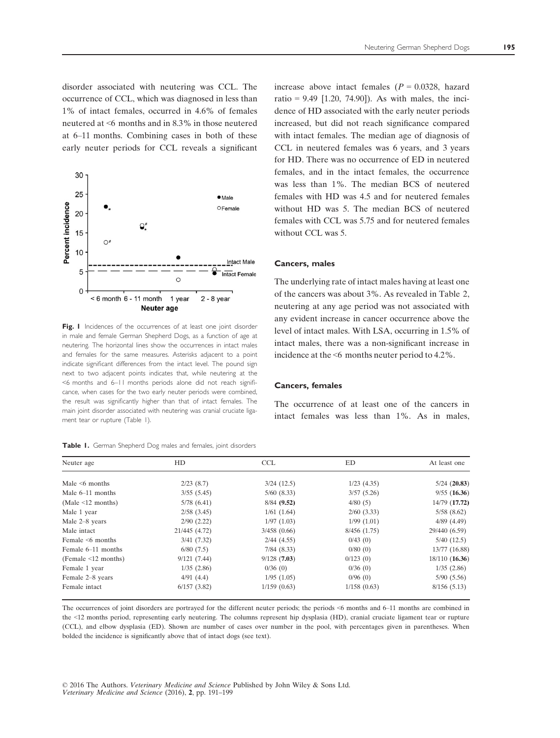disorder associated with neutering was CCL. The occurrence of CCL, which was diagnosed in less than 1% of intact females, occurred in 4.6% of females neutered at <6 months and in 8.3% in those neutered at 6–11 months. Combining cases in both of these early neuter periods for CCL reveals a significant



Fig. I Incidences of the occurrences of at least one joint disorder in male and female German Shepherd Dogs, as a function of age at neutering. The horizontal lines show the occurrences in intact males and females for the same measures. Asterisks adjacent to a point indicate significant differences from the intact level. The pound sign next to two adjacent points indicates that, while neutering at the <6 months and 6–11 months periods alone did not reach significance, when cases for the two early neuter periods were combined, the result was significantly higher than that of intact females. The main joint disorder associated with neutering was cranial cruciate ligament tear or rupture (Table 1).

| Table 1. German Shepherd Dog males and females, joint disorders |  |  |  |  |  |  |  |  |
|-----------------------------------------------------------------|--|--|--|--|--|--|--|--|
|-----------------------------------------------------------------|--|--|--|--|--|--|--|--|

increase above intact females  $(P = 0.0328,$  hazard ratio =  $9.49$  [1.20, 74.90]). As with males, the incidence of HD associated with the early neuter periods increased, but did not reach significance compared with intact females. The median age of diagnosis of CCL in neutered females was 6 years, and 3 years for HD. There was no occurrence of ED in neutered females, and in the intact females, the occurrence was less than 1%. The median BCS of neutered females with HD was 4.5 and for neutered females without HD was 5. The median BCS of neutered females with CCL was 5.75 and for neutered females without CCL was 5.

#### Cancers, males

The underlying rate of intact males having at least one of the cancers was about 3%. As revealed in Table 2, neutering at any age period was not associated with any evident increase in cancer occurrence above the level of intact males. With LSA, occurring in 1.5% of intact males, there was a non-significant increase in incidence at the <6 months neuter period to 4.2%.

#### Cancers, females

The occurrence of at least one of the cancers in intact females was less than 1%. As in males,

| Neuter age              | HD              | <b>CCL</b>      | ED              | At least one   |
|-------------------------|-----------------|-----------------|-----------------|----------------|
| Male $\leq 6$ months    | 2/23(8.7)       | $3/24$ $(12.5)$ | $1/23$ $(4.35)$ | $5/24$ (20.83) |
| Male $6-11$ months      | 3/55(5.45)      | $5/60$ $(8.33)$ | 3/57(5.26)      | 9/55(16.36)    |
| (Male $\leq 12$ months) | 5/78(6.41)      | 8/84 (9.52)     | 4/80(5)         | 14/79 (17.72)  |
| Male 1 year             | $2/58$ $(3.45)$ | 1/61(1.64)      | $2/60$ (3.33)   | 5/58(8.62)     |
| Male 2–8 years          | 2/90(2.22)      | 1/97(1.03)      | 1/99(1.01)      | 4/89(4.49)     |
| Male intact             | 21/445 (4.72)   | 3/458(0.66)     | 8/456(1.75)     | 29/440 (6.59)  |
| Female $\leq 6$ months  | 3/41(7.32)      | $2/44$ (4.55)   | 0/43(0)         | $5/40$ (12.5)  |
| Female 6–11 months      | 6/80(7.5)       | $7/84$ $(8.33)$ | 0/80(0)         | 13/77 (16.88)  |
| (Female < 12 months)    | 9/121(7.44)     | 9/128(7.03)     | 0/123(0)        | 18/110 (16.36) |
| Female 1 year           | 1/35(2.86)      | 0/36(0)         | 0/36(0)         | 1/35(2.86)     |
| Female 2-8 years        | 4/91(4.4)       | 1/95(1.05)      | 0/96(0)         | 5/90(5.56)     |
| Female intact           | 6/157(3.82)     | 1/159(0.63)     | 1/158(0.63)     | 8/156(5.13)    |

The occurrences of joint disorders are portrayed for the different neuter periods; the periods <6 months and 6–11 months are combined in the <12 months period, representing early neutering. The columns represent hip dysplasia (HD), cranial cruciate ligament tear or rupture (CCL), and elbow dysplasia (ED). Shown are number of cases over number in the pool, with percentages given in parentheses. When bolded the incidence is significantly above that of intact dogs (see text).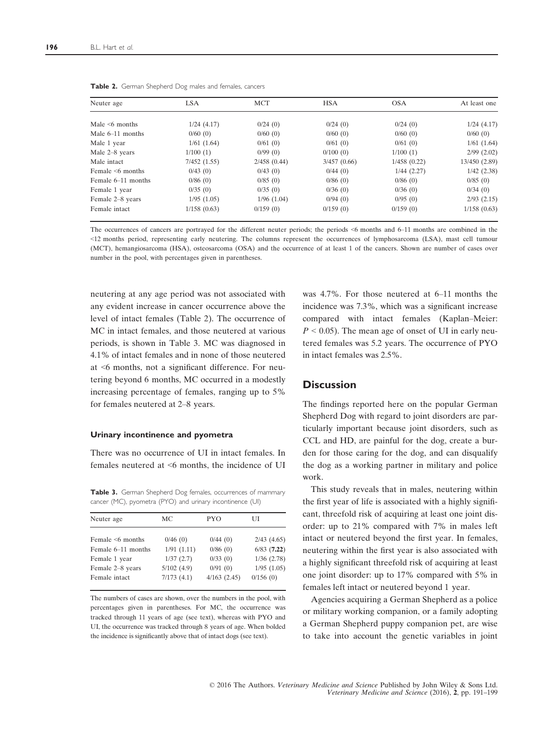| Neuter age             | <b>LSA</b>  | <b>MCT</b>  | <b>HSA</b>  | <b>OSA</b>  | At least one    |
|------------------------|-------------|-------------|-------------|-------------|-----------------|
| Male $\leq 6$ months   | 1/24(4.17)  | 0/24(0)     | 0/24(0)     | 0/24(0)     | 1/24(4.17)      |
| Male $6-11$ months     | 0/60(0)     | 0/60(0)     | 0/60(0)     | 0/60(0)     | 0/60(0)         |
| Male 1 year            | 1/61(1.64)  | 0/61(0)     | 0/61(0)     | 0/61(0)     | 1/61(1.64)      |
| Male 2–8 years         | 1/100(1)    | 0/99(0)     | 0/100(0)    | 1/100(1)    | $2/99$ $(2.02)$ |
| Male intact            | 7/452(1.55) | 2/458(0.44) | 3/457(0.66) | 1/458(0.22) | 13/450 (2.89)   |
| Female $\leq 6$ months | 0/43(0)     | 0/43(0)     | 0/44(0)     | 1/44(2.27)  | 1/42(2.38)      |
| Female 6–11 months     | 0/86(0)     | 0/85(0)     | 0/86(0)     | 0/86(0)     | 0/85(0)         |
| Female 1 year          | 0/35(0)     | 0/35(0)     | 0/36(0)     | 0/36(0)     | 0/34(0)         |
| Female 2–8 years       | 1/95(1.05)  | 1/96(1.04)  | 0/94(0)     | 0/95(0)     | $2/93$ $(2.15)$ |
| Female intact          | 1/158(0.63) | 0/159(0)    | 0/159(0)    | 0/159(0)    | 1/158(0.63)     |

|  |  | Table 2. German Shepherd Dog males and females, cancers |  |  |  |  |  |
|--|--|---------------------------------------------------------|--|--|--|--|--|
|--|--|---------------------------------------------------------|--|--|--|--|--|

The occurrences of cancers are portrayed for the different neuter periods; the periods <6 months and 6–11 months are combined in the <12 months period, representing early neutering. The columns represent the occurrences of lymphosarcoma (LSA), mast cell tumour (MCT), hemangiosarcoma (HSA), osteosarcoma (OSA) and the occurrence of at least 1 of the cancers. Shown are number of cases over number in the pool, with percentages given in parentheses.

neutering at any age period was not associated with any evident increase in cancer occurrence above the level of intact females (Table 2). The occurrence of MC in intact females, and those neutered at various periods, is shown in Table 3. MC was diagnosed in 4.1% of intact females and in none of those neutered at <6 months, not a significant difference. For neutering beyond 6 months, MC occurred in a modestly increasing percentage of females, ranging up to 5% for females neutered at 2–8 years.

#### Urinary incontinence and pyometra

There was no occurrence of UI in intact females. In females neutered at <6 months, the incidence of UI

Table 3. German Shepherd Dog females, occurrences of mammary cancer (MC), pyometra (PYO) and urinary incontinence (UI)

| Neuter age             | МC         | PYO         | U               |
|------------------------|------------|-------------|-----------------|
| Female $\leq 6$ months | 0/46(0)    | 0/44(0)     | $2/43$ $(4.65)$ |
| Female 6–11 months     | 1/91(1.11) | 0/86(0)     | $6/83$ $(7.22)$ |
| Female 1 year          | 1/37(2.7)  | 0/33(0)     | 1/36(2.78)      |
| Female 2-8 years       | 5/102(4.9) | 0/91(0)     | 1/95(1.05)      |
| Female intact          | 7/173(4.1) | 4/163(2.45) | 0/156(0)        |

The numbers of cases are shown, over the numbers in the pool, with percentages given in parentheses. For MC, the occurrence was tracked through 11 years of age (see text), whereas with PYO and UI, the occurrence was tracked through 8 years of age. When bolded the incidence is significantly above that of intact dogs (see text).

was 4.7%. For those neutered at 6–11 months the incidence was 7.3%, which was a significant increase compared with intact females (Kaplan–Meier:  $P < 0.05$ ). The mean age of onset of UI in early neutered females was 5.2 years. The occurrence of PYO in intact females was 2.5%.

# **Discussion**

The findings reported here on the popular German Shepherd Dog with regard to joint disorders are particularly important because joint disorders, such as CCL and HD, are painful for the dog, create a burden for those caring for the dog, and can disqualify the dog as a working partner in military and police work.

This study reveals that in males, neutering within the first year of life is associated with a highly significant, threefold risk of acquiring at least one joint disorder: up to 21% compared with 7% in males left intact or neutered beyond the first year. In females, neutering within the first year is also associated with a highly significant threefold risk of acquiring at least one joint disorder: up to 17% compared with 5% in females left intact or neutered beyond 1 year.

Agencies acquiring a German Shepherd as a police or military working companion, or a family adopting a German Shepherd puppy companion pet, are wise to take into account the genetic variables in joint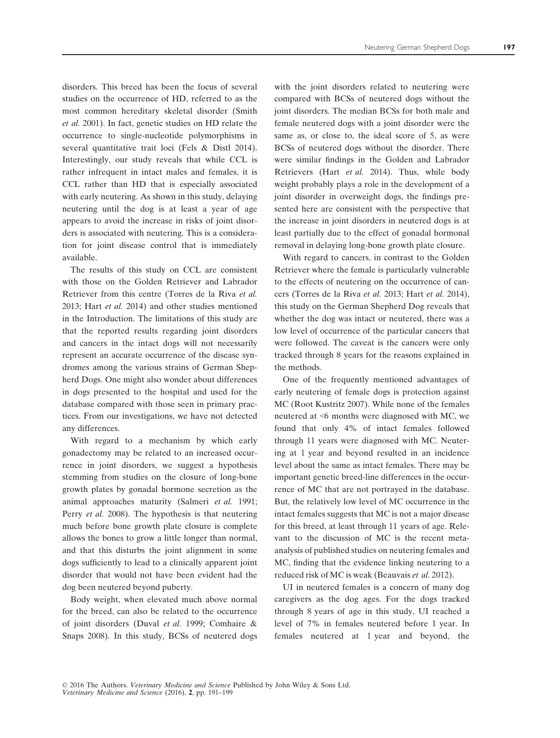disorders. This breed has been the focus of several studies on the occurrence of HD, referred to as the most common hereditary skeletal disorder (Smith et al. 2001). In fact, genetic studies on HD relate the occurrence to single-nucleotide polymorphisms in several quantitative trait loci (Fels & Distl 2014). Interestingly, our study reveals that while CCL is rather infrequent in intact males and females, it is CCL rather than HD that is especially associated with early neutering. As shown in this study, delaying neutering until the dog is at least a year of age appears to avoid the increase in risks of joint disorders is associated with neutering. This is a consideration for joint disease control that is immediately available.

The results of this study on CCL are consistent with those on the Golden Retriever and Labrador Retriever from this centre (Torres de la Riva et al. 2013; Hart et al. 2014) and other studies mentioned in the Introduction. The limitations of this study are that the reported results regarding joint disorders and cancers in the intact dogs will not necessarily represent an accurate occurrence of the disease syndromes among the various strains of German Shepherd Dogs. One might also wonder about differences in dogs presented to the hospital and used for the database compared with those seen in primary practices. From our investigations, we have not detected any differences.

With regard to a mechanism by which early gonadectomy may be related to an increased occurrence in joint disorders, we suggest a hypothesis stemming from studies on the closure of long-bone growth plates by gonadal hormone secretion as the animal approaches maturity (Salmeri et al. 1991; Perry et al. 2008). The hypothesis is that neutering much before bone growth plate closure is complete allows the bones to grow a little longer than normal, and that this disturbs the joint alignment in some dogs sufficiently to lead to a clinically apparent joint disorder that would not have been evident had the dog been neutered beyond puberty.

Body weight, when elevated much above normal for the breed, can also be related to the occurrence of joint disorders (Duval et al. 1999; Comhaire & Snaps 2008). In this study, BCSs of neutered dogs

with the joint disorders related to neutering were compared with BCSs of neutered dogs without the joint disorders. The median BCSs for both male and female neutered dogs with a joint disorder were the same as, or close to, the ideal score of 5, as were BCSs of neutered dogs without the disorder. There were similar findings in the Golden and Labrador Retrievers (Hart et al. 2014). Thus, while body weight probably plays a role in the development of a joint disorder in overweight dogs, the findings presented here are consistent with the perspective that the increase in joint disorders in neutered dogs is at least partially due to the effect of gonadal hormonal removal in delaying long-bone growth plate closure.

With regard to cancers, in contrast to the Golden Retriever where the female is particularly vulnerable to the effects of neutering on the occurrence of cancers (Torres de la Riva et al. 2013; Hart et al. 2014), this study on the German Shepherd Dog reveals that whether the dog was intact or neutered, there was a low level of occurrence of the particular cancers that were followed. The caveat is the cancers were only tracked through 8 years for the reasons explained in the methods.

One of the frequently mentioned advantages of early neutering of female dogs is protection against MC (Root Kustritz 2007). While none of the females neutered at <6 months were diagnosed with MC, we found that only 4% of intact females followed through 11 years were diagnosed with MC. Neutering at 1 year and beyond resulted in an incidence level about the same as intact females. There may be important genetic breed-line differences in the occurrence of MC that are not portrayed in the database. But, the relatively low level of MC occurrence in the intact females suggests that MC is not a major disease for this breed, at least through 11 years of age. Relevant to the discussion of MC is the recent metaanalysis of published studies on neutering females and MC, finding that the evidence linking neutering to a reduced risk of MC is weak (Beauvais et al. 2012).

UI in neutered females is a concern of many dog caregivers as the dog ages. For the dogs tracked through 8 years of age in this study, UI reached a level of 7% in females neutered before 1 year. In females neutered at 1 year and beyond, the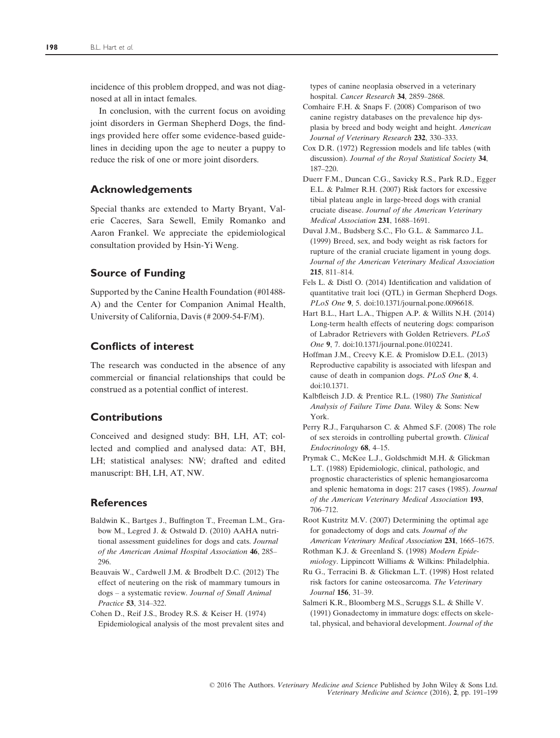incidence of this problem dropped, and was not diagnosed at all in intact females.

In conclusion, with the current focus on avoiding joint disorders in German Shepherd Dogs, the findings provided here offer some evidence-based guidelines in deciding upon the age to neuter a puppy to reduce the risk of one or more joint disorders.

# Acknowledgements

Special thanks are extended to Marty Bryant, Valerie Caceres, Sara Sewell, Emily Romanko and Aaron Frankel. We appreciate the epidemiological consultation provided by Hsin-Yi Weng.

# Source of Funding

Supported by the Canine Health Foundation (#01488- A) and the Center for Companion Animal Health, University of California, Davis (# 2009-54-F/M).

# Conflicts of interest

The research was conducted in the absence of any commercial or financial relationships that could be construed as a potential conflict of interest.

# Contributions

Conceived and designed study: BH, LH, AT; collected and complied and analysed data: AT, BH, LH; statistical analyses: NW; drafted and edited manuscript: BH, LH, AT, NW.

# **References**

- Baldwin K., Bartges J., Buffington T., Freeman L.M., Grabow M., Legred J. & Ostwald D. (2010) AAHA nutritional assessment guidelines for dogs and cats. Journal of the American Animal Hospital Association 46, 285– 296.
- Beauvais W., Cardwell J.M. & Brodbelt D.C. (2012) The effect of neutering on the risk of mammary tumours in dogs – a systematic review. Journal of Small Animal Practice 53, 314–322.
- Cohen D., Reif J.S., Brodey R.S. & Keiser H. (1974) Epidemiological analysis of the most prevalent sites and

types of canine neoplasia observed in a veterinary hospital. Cancer Research 34, 2859–2868.

- Comhaire F.H. & Snaps F. (2008) Comparison of two canine registry databases on the prevalence hip dysplasia by breed and body weight and height. American Journal of Veterinary Research 232, 330–333.
- Cox D.R. (1972) Regression models and life tables (with discussion). Journal of the Royal Statistical Society 34, 187–220.
- Duerr F.M., Duncan C.G., Savicky R.S., Park R.D., Egger E.L. & Palmer R.H. (2007) Risk factors for excessive tibial plateau angle in large-breed dogs with cranial cruciate disease. Journal of the American Veterinary Medical Association 231, 1688-1691.
- Duval J.M., Budsberg S.C., Flo G.L. & Sammarco J.L. (1999) Breed, sex, and body weight as risk factors for rupture of the cranial cruciate ligament in young dogs. Journal of the American Veterinary Medical Association 215, 811–814.
- Fels L. & Distl O. (2014) Identification and validation of quantitative trait loci (QTL) in German Shepherd Dogs. PLoS One 9, 5. doi:[10.1371/journal.pone.0096618.](http://dx.doi.org/10.1371/journal.pone.0096618)
- Hart B.L., Hart L.A., Thigpen A.P. & Willits N.H. (2014) Long-term health effects of neutering dogs: comparison of Labrador Retrievers with Golden Retrievers. PLoS One 9, 7. doi[:10.1371/journal.pone.0102241](http://dx.doi.org/10.1371/journal.pone.0102241).
- Hoffman J.M., Creevy K.E. & Promislow D.E.L. (2013) Reproductive capability is associated with lifespan and cause of death in companion dogs. PLoS One 8, 4. doi[:10.1371.](http://dx.doi.org/10.1371)
- Kalbfleisch J.D. & Prentice R.L. (1980) The Statistical Analysis of Failure Time Data. Wiley & Sons: New York.
- Perry R.J., Farquharson C. & Ahmed S.F. (2008) The role of sex steroids in controlling pubertal growth. Clinical Endocrinology 68, 4–15.
- Prymak C., McKee L.J., Goldschmidt M.H. & Glickman L.T. (1988) Epidemiologic, clinical, pathologic, and prognostic characteristics of splenic hemangiosarcoma and splenic hematoma in dogs: 217 cases (1985). Journal of the American Veterinary Medical Association 193, 706–712.
- Root Kustritz M.V. (2007) Determining the optimal age for gonadectomy of dogs and cats. Journal of the American Veterinary Medical Association 231, 1665-1675.
- Rothman K.J. & Greenland S. (1998) Modern Epidemiology. Lippincott Williams & Wilkins: Philadelphia.
- Ru G., Terracini B. & Glickman L.T. (1998) Host related risk factors for canine osteosarcoma. The Veterinary Journal 156, 31–39.
- Salmeri K.R., Bloomberg M.S., Scruggs S.L. & Shille V. (1991) Gonadectomy in immature dogs: effects on skeletal, physical, and behavioral development. Journal of the